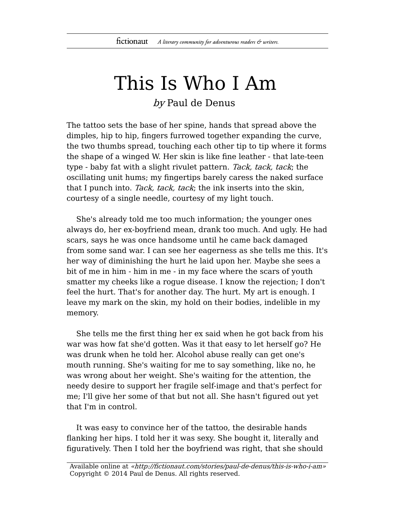## This Is Who I Am

by Paul de Denus

The tattoo sets the base of her spine, hands that spread above the dimples, hip to hip, fingers furrowed together expanding the curve, the two thumbs spread, touching each other tip to tip where it forms the shape of a winged W. Her skin is like fine leather - that late-teen type - baby fat with a slight rivulet pattern. Tack, tack, tack; the oscillating unit hums; my fingertips barely caress the naked surface that I punch into. Tack, tack, tack; the ink inserts into the skin, courtesy of a single needle, courtesy of my light touch.

She's already told me too much information; the younger ones always do, her ex-boyfriend mean, drank too much. And ugly. He had scars, says he was once handsome until he came back damaged from some sand war. I can see her eagerness as she tells me this. It's her way of diminishing the hurt he laid upon her. Maybe she sees a bit of me in him - him in me - in my face where the scars of youth smatter my cheeks like a rogue disease. I know the rejection; I don't feel the hurt. That's for another day. The hurt. My art is enough. I leave my mark on the skin, my hold on their bodies, indelible in my memory.

She tells me the first thing her ex said when he got back from his war was how fat she'd gotten. Was it that easy to let herself go? He was drunk when he told her. Alcohol abuse really can get one's mouth running. She's waiting for me to say something, like no, he was wrong about her weight. She's waiting for the attention, the needy desire to support her fragile self-image and that's perfect for me; I'll give her some of that but not all. She hasn't figured out yet that I'm in control.

It was easy to convince her of the tattoo, the desirable hands flanking her hips. I told her it was sexy. She bought it, literally and figuratively. Then I told her the boyfriend was right, that she should

Available online at «http://fictionaut.com/stories/paul-de-denus/this-is-who-i-am» Copyright © 2014 Paul de Denus. All rights reserved.